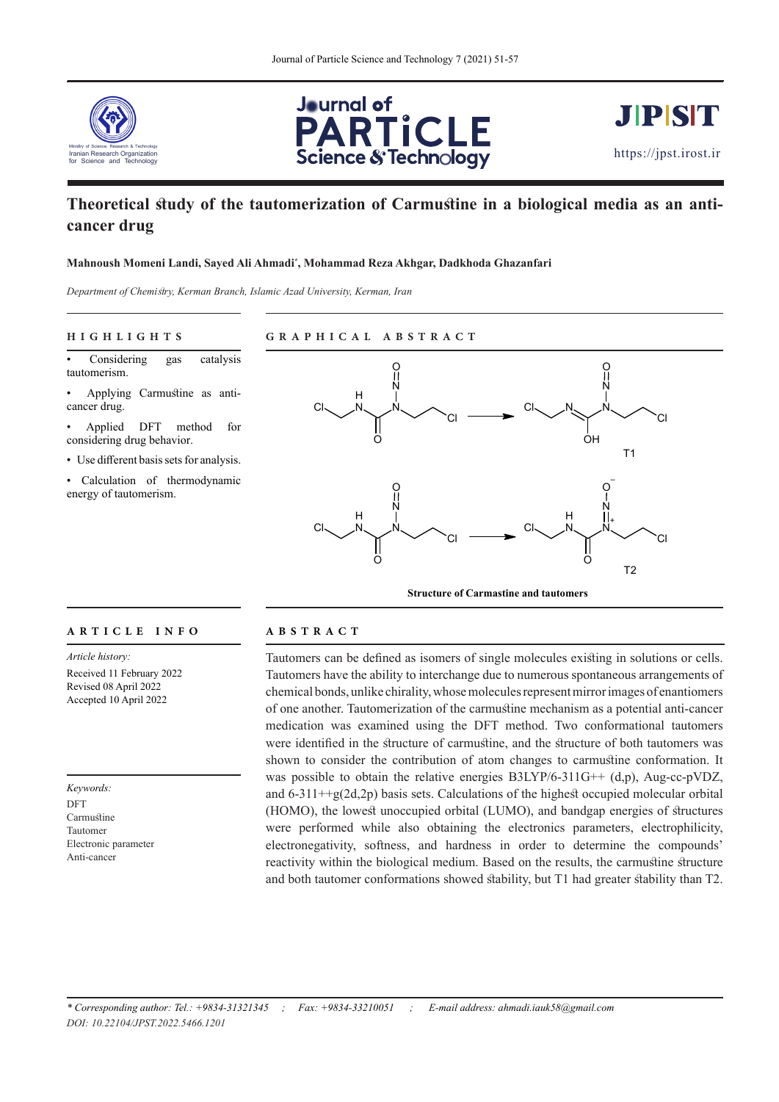





# **Theoretical study of the tautomerization of Carmustine in a biological media as an anticancer drug**

## **Mahnoush Momeni Landi, Sayed Ali Ahmadi\* , Mohammad Reza Akhgar, Dadkhoda Ghazanfari**

*Department of Chemistry, Kerman Branch, Islamic Azad University, Kerman, Iran*

### **HIGHLIGHTS GRAPHICAL ABSTRACT**

Considering gas catalysis tautomerism.

• Applying Carmustine as anticancer drug.

• Applied DFT method for considering drug behavior.

• Use different basis sets for analysis.

• Calculation of thermodynamic energy of tautomerism.



#### **ARTICLE INFO ABSTRACT**

*Article history:* Received 11 February 2022 Revised 08 April 2022 Accepted 10 April 2022

*Keywords:* DFT Carmustine Tautomer Electronic parameter Anti-cancer

Tautomers can be defined as isomers of single molecules existing in solutions or cells. Tautomers have the ability to interchange due to numerous spontaneous arrangements of chemical bonds, unlike chirality, whose molecules represent mirror images of enantiomers of one another. Tautomerization of the carmustine mechanism as a potential anti-cancer medication was examined using the DFT method. Two conformational tautomers were identified in the structure of carmustine, and the structure of both tautomers was shown to consider the contribution of atom changes to carmustine conformation. It was possible to obtain the relative energies  $B3LYP/6-311G++ (d,p)$ , Aug-cc-pVDZ, and  $6-311++g(2d,2p)$  basis sets. Calculations of the highest occupied molecular orbital (HOMO), the lowest unoccupied orbital (LUMO), and bandgap energies of structures were performed while also obtaining the electronics parameters, electrophilicity, electronegativity, softness, and hardness in order to determine the compounds' reactivity within the biological medium. Based on the results, the carmustine structure and both tautomer conformations showed stability, but T1 had greater stability than T2.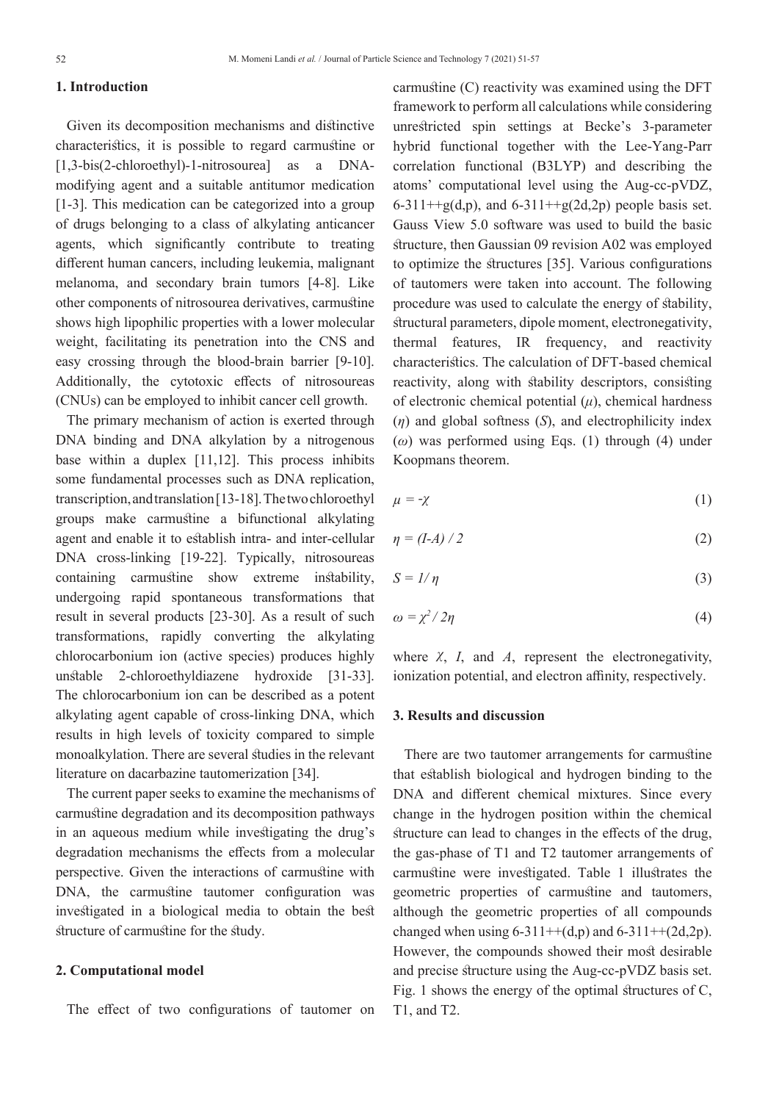## **1. Introduction**

Given its decomposition mechanisms and distinctive characteristics, it is possible to regard carmustine or [1,3-bis(2-chloroethyl)-1-nitrosourea] as a DNAmodifying agent and a suitable antitumor medication [1-3]. This medication can be categorized into a group of drugs belonging to a class of alkylating anticancer agents, which significantly contribute to treating different human cancers, including leukemia, malignant melanoma, and secondary brain tumors [4-8]. Like other components of nitrosourea derivatives, carmustine shows high lipophilic properties with a lower molecular weight, facilitating its penetration into the CNS and easy crossing through the blood-brain barrier [9-10]. Additionally, the cytotoxic effects of nitrosoureas (CNUs) can be employed to inhibit cancer cell growth.

The primary mechanism of action is exerted through DNA binding and DNA alkylation by a nitrogenous base within a duplex [11,12]. This process inhibits some fundamental processes such as DNA replication, transcription, and translation [13-18]. The two chloroethyl groups make carmustine a bifunctional alkylating agent and enable it to establish intra- and inter-cellular DNA cross-linking [19-22]. Typically, nitrosoureas containing carmustine show extreme instability, undergoing rapid spontaneous transformations that result in several products [23-30]. As a result of such transformations, rapidly converting the alkylating chlorocarbonium ion (active species) produces highly unstable 2-chloroethyldiazene hydroxide [31-33]. The chlorocarbonium ion can be described as a potent alkylating agent capable of cross-linking DNA, which results in high levels of toxicity compared to simple monoalkylation. There are several studies in the relevant literature on dacarbazine tautomerization [34].

The current paper seeks to examine the mechanisms of carmustine degradation and its decomposition pathways in an aqueous medium while investigating the drug's degradation mechanisms the effects from a molecular perspective. Given the interactions of carmustine with DNA, the carmustine tautomer configuration was investigated in a biological media to obtain the best structure of carmustine for the study.

# **2. Computational model**

The effect of two configurations of tautomer on

carmustine (C) reactivity was examined using the DFT framework to perform all calculations while considering unrestricted spin settings at Becke's 3-parameter hybrid functional together with the Lee-Yang-Parr correlation functional (B3LYP) and describing the atoms' computational level using the Aug-cc-pVDZ, 6-311++g(d,p), and 6-311++g(2d,2p) people basis set. Gauss View 5.0 software was used to build the basic structure, then Gaussian 09 revision A02 was employed to optimize the structures [35]. Various configurations of tautomers were taken into account. The following procedure was used to calculate the energy of stability, structural parameters, dipole moment, electronegativity, thermal features, IR frequency, and reactivity characteristics. The calculation of DFT-based chemical reactivity, along with stability descriptors, consisting of electronic chemical potential  $(\mu)$ , chemical hardness (*η*) and global softness (*S*), and electrophilicity index (*ω*) was performed using Eqs. (1) through (4) under Koopmans theorem.

$$
\mu = -\chi \tag{1}
$$

$$
\eta = (I-A) / 2 \tag{2}
$$

$$
S = I/\eta \tag{3}
$$

$$
\omega = \chi^2 / 2\eta \tag{4}
$$

where  $\chi$ ,  $I$ , and  $A$ , represent the electronegativity, ionization potential, and electron affinity, respectively.

# **3. Results and discussion**

There are two tautomer arrangements for carmustine that establish biological and hydrogen binding to the DNA and different chemical mixtures. Since every change in the hydrogen position within the chemical structure can lead to changes in the effects of the drug, the gas-phase of T1 and T2 tautomer arrangements of carmustine were investigated. Table 1 illustrates the geometric properties of carmustine and tautomers, although the geometric properties of all compounds changed when using  $6-311++(d,p)$  and  $6-311++(2d,2p)$ . However, the compounds showed their most desirable and precise structure using the Aug-cc-pVDZ basis set. Fig. 1 shows the energy of the optimal structures of C, T1, and T2.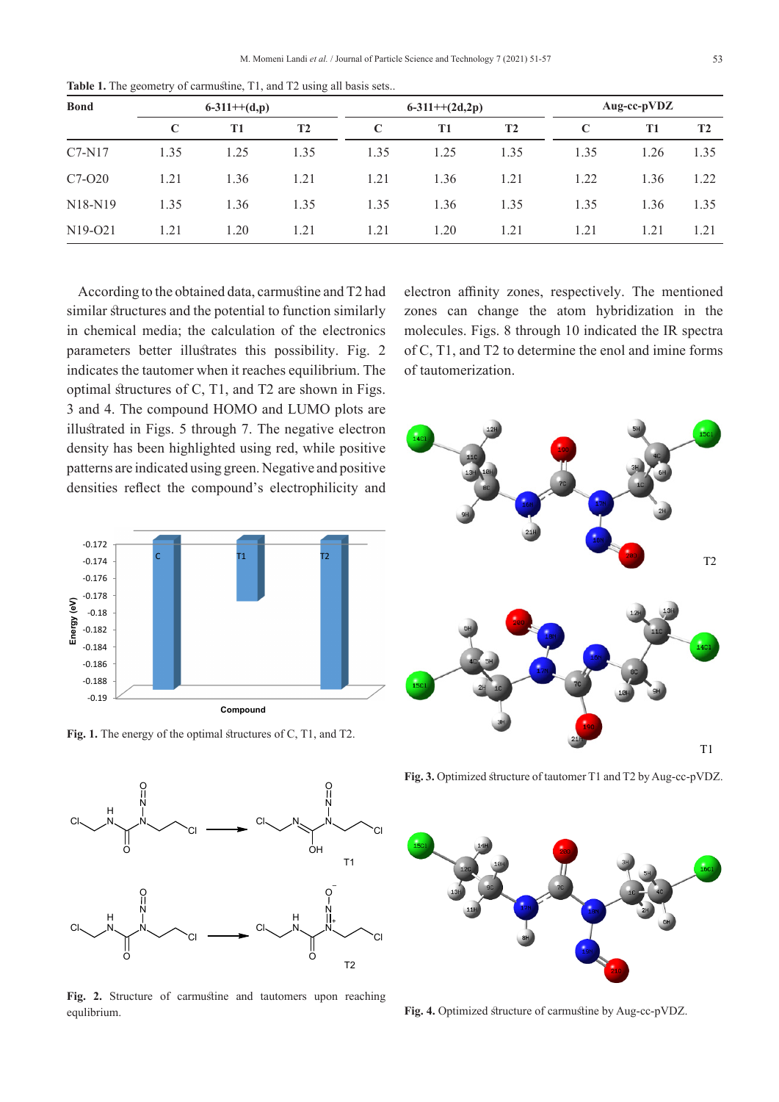| <b>Bond</b>                      | $6-311++(d,p)$ |                |                | $6-311++(2d,2p)$ |      |                | Aug-cc-pVDZ |           |                |
|----------------------------------|----------------|----------------|----------------|------------------|------|----------------|-------------|-----------|----------------|
|                                  | $\mathbf C$    | T <sub>1</sub> | T <sub>2</sub> | C                | T1   | T <sub>2</sub> | $\mathbf C$ | <b>T1</b> | T <sub>2</sub> |
| $C7-N17$                         | 1.35           | 1.25           | 1.35           | 1.35             | 1.25 | 1.35           | 1.35        | 1.26      | 1.35           |
| $C7-O20$                         | 1.21           | 1.36           | 1.21           | 1.21             | 1.36 | 1.21           | 1.22        | 1.36      | 1.22           |
| N <sub>18</sub> -N <sub>19</sub> | 1.35           | 1.36           | 1.35           | 1.35             | 1.36 | 1.35           | 1.35        | 1.36      | 1.35           |
| N <sub>19</sub> -021             | 1.21           | 1.20           | 1.21           | 1.21             | 1.20 | 1.21           | 1.21        | 1.21      | 1.21           |

**Table 1.** The geometry of carmustine, T1, and T2 using all basis sets..

According to the obtained data, carmustine and T2 had similar structures and the potential to function similarly in chemical media; the calculation of the electronics parameters better illustrates this possibility. Fig. 2 indicates the tautomer when it reaches equilibrium. The optimal structures of C, T1, and T2 are shown in Figs. 3 and 4. The compound HOMO and LUMO plots are illustrated in Figs. 5 through 7. The negative electron density has been highlighted using red, while positive patterns are indicated using green. Negative and positive densities reflect the compound's electrophilicity and



**Fig. 1.** The energy of the optimal structures of C, T1, and T2.



**Fig. 2.** Structure of carmustine and tautomers upon reaching equlibrium.

electron affinity zones, respectively. The mentioned zones can change the atom hybridization in the molecules. Figs. 8 through 10 indicated the IR spectra of C, T1, and T2 to determine the enol and imine forms of tautomerization.



**Fig. 3.** Optimized structure of tautomer T1 and T2 by Aug-cc-pVDZ.



**Fig. 4.** Optimized structure of carmustine by Aug-cc-pVDZ.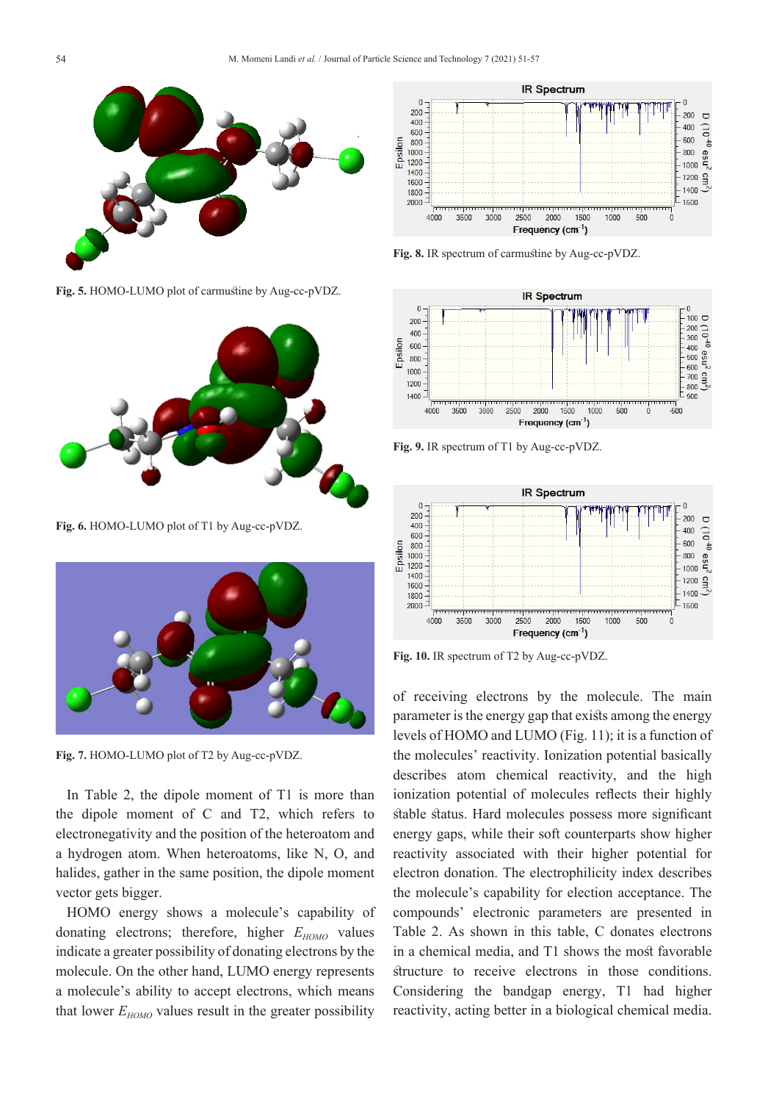

**Fig. 5.** HOMO-LUMO plot of carmustine by Aug-cc-pVDZ.



**Fig. 6.** HOMO-LUMO plot of T1 by Aug-cc-pVDZ.



**Fig. 7.** HOMO-LUMO plot of T2 by Aug-cc-pVDZ.

In Table 2, the dipole moment of T1 is more than the dipole moment of C and T2, which refers to electronegativity and the position of the heteroatom and a hydrogen atom. When heteroatoms, like N, O, and halides, gather in the same position, the dipole moment vector gets bigger.

HOMO energy shows a molecule's capability of donating electrons; therefore, higher  $E_{HOMO}$  values indicate a greater possibility of donating electrons by the molecule. On the other hand, LUMO energy represents a molecule's ability to accept electrons, which means that lower  $E_{HOMO}$  values result in the greater possibility



**Fig. 8.** IR spectrum of carmustine by Aug-cc-pVDZ.



**Fig. 9.** IR spectrum of T1 by Aug-cc-pVDZ.



**Fig. 10.** IR spectrum of T2 by Aug-cc-pVDZ.

of receiving electrons by the molecule. The main parameter is the energy gap that exists among the energy levels of HOMO and LUMO (Fig. 11); it is a function of the molecules' reactivity. Ionization potential basically describes atom chemical reactivity, and the high ionization potential of molecules reflects their highly stable status. Hard molecules possess more significant energy gaps, while their soft counterparts show higher reactivity associated with their higher potential for electron donation. The electrophilicity index describes the molecule's capability for election acceptance. The compounds' electronic parameters are presented in Table 2. As shown in this table, C donates electrons in a chemical media, and T1 shows the most favorable structure to receive electrons in those conditions. Considering the bandgap energy, T1 had higher reactivity, acting better in a biological chemical media.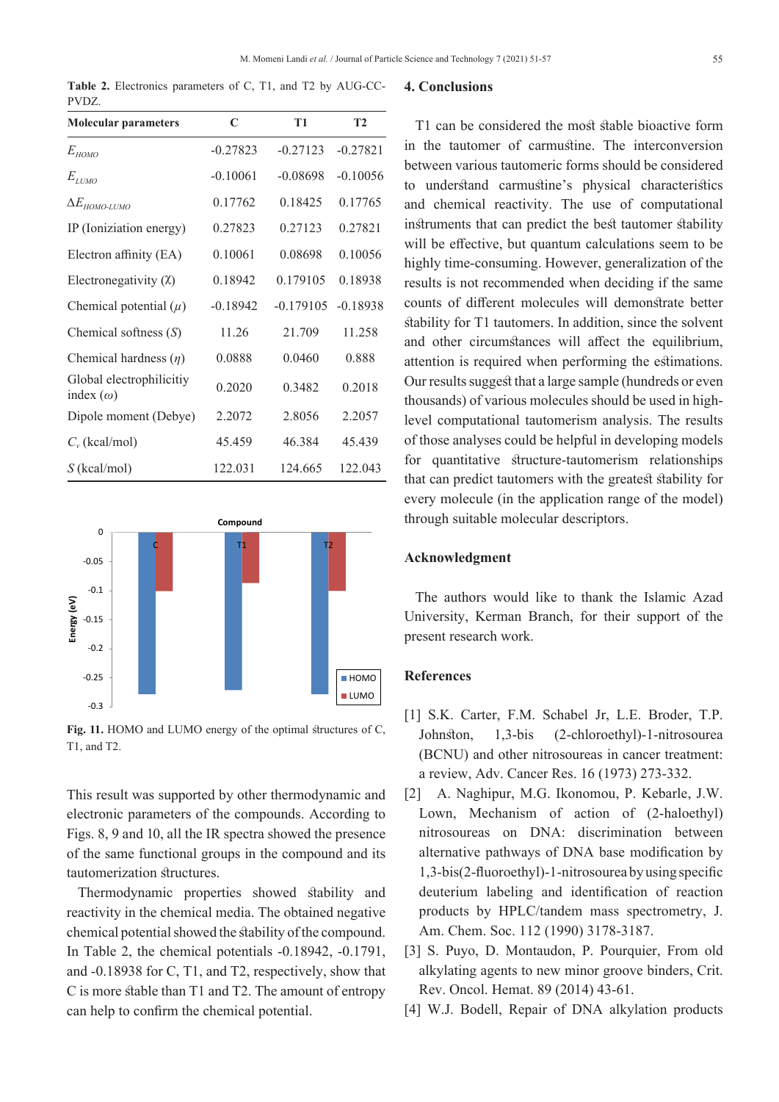**Table 2.** Electronics parameters of C, T1, and T2 by AUG-CC-PVDZ.

| <b>Molecular parameters</b>                  | C          | <b>T1</b>   | T <sub>2</sub> |  |
|----------------------------------------------|------------|-------------|----------------|--|
| $E_{HOMO}$                                   | $-0.27823$ | $-0.27123$  | $-0.27821$     |  |
| $E$ <sub>LUMO</sub>                          | $-0.10061$ | $-0.08698$  | $-0.10056$     |  |
| $\Delta E_{HOMO-LUMO}$                       | 0.17762    | 0.18425     | 0.17765        |  |
| IP (Ioniziation energy)                      | 0.27823    | 0.27123     | 0.27821        |  |
| Electron affinity (EA)                       | 0.10061    | 0.08698     | 0.10056        |  |
| Electronegativity $(X)$                      | 0.18942    | 0.179105    | 0.18938        |  |
| Chemical potential $(\mu)$                   | $-0.18942$ | $-0.179105$ | $-0.18938$     |  |
| Chemical softness $(S)$                      | 11.26      | 21.709      | 11.258         |  |
| Chemical hardness $(\eta)$                   | 0.0888     | 0.0460      | 0.888          |  |
| Global electrophilicitiy<br>index $(\omega)$ | 0.2020     | 0.3482      | 0.2018         |  |
| Dipole moment (Debye)                        | 2.2072     | 2.8056      | 2.2057         |  |
| $C_v$ (kcal/mol)                             | 45.459     | 46.384      | 45.439         |  |
| $S$ (kcal/mol)                               | 122.031    | 124.665     | 122.043        |  |



**Fig. 11.** HOMO and LUMO energy of the optimal structures of C, T1, and T2.

This result was supported by other thermodynamic and electronic parameters of the compounds. According to Figs. 8, 9 and 10, all the IR spectra showed the presence of the same functional groups in the compound and its tautomerization structures.

Thermodynamic properties showed stability and reactivity in the chemical media. The obtained negative chemical potential showed the stability of the compound. In Table 2, the chemical potentials -0.18942, -0.1791, and -0.18938 for C, T1, and T2, respectively, show that C is more stable than T1 and T2. The amount of entropy can help to confirm the chemical potential.

#### **4. Conclusions**

T1 can be considered the most stable bioactive form in the tautomer of carmustine. The interconversion between various tautomeric forms should be considered to understand carmustine's physical characteristics and chemical reactivity. The use of computational instruments that can predict the best tautomer stability will be effective, but quantum calculations seem to be highly time-consuming. However, generalization of the results is not recommended when deciding if the same counts of different molecules will demonstrate better stability for T1 tautomers. In addition, since the solvent and other circumstances will affect the equilibrium, attention is required when performing the estimations. Our results suggest that a large sample (hundreds or even thousands) of various molecules should be used in highlevel computational tautomerism analysis. The results of those analyses could be helpful in developing models for quantitative structure-tautomerism relationships that can predict tautomers with the greatest stability for every molecule (in the application range of the model) through suitable molecular descriptors.

# **Acknowledgment**

The authors would like to thank the Islamic Azad University, Kerman Branch, for their support of the present research work.

### **References**

- [1] S.K. Carter, F.M. Schabel Jr, L.E. Broder, T.P. Johnston, 1,3-bis (2-chloroethyl)-1-nitrosourea (BCNU) and other nitrosoureas in cancer treatment: a review, Adv. Cancer Res. 16 (1973) 273-332.
- [2] A. Naghipur, M.G. Ikonomou, P. Kebarle, J.W. Lown, Mechanism of action of (2-haloethyl) nitrosoureas on DNA: discrimination between alternative pathways of DNA base modification by 1,3-bis(2-fluoroethyl)-1-nitrosourea by using specific deuterium labeling and identification of reaction products by HPLC/tandem mass spectrometry, J. Am. Chem. Soc. 112 (1990) 3178-3187.
- [3] S. Puyo, D. Montaudon, P. Pourquier, From old alkylating agents to new minor groove binders, Crit. Rev. Oncol. Hemat. 89 (2014) 43-61.
- [4] W.J. Bodell, Repair of DNA alkylation products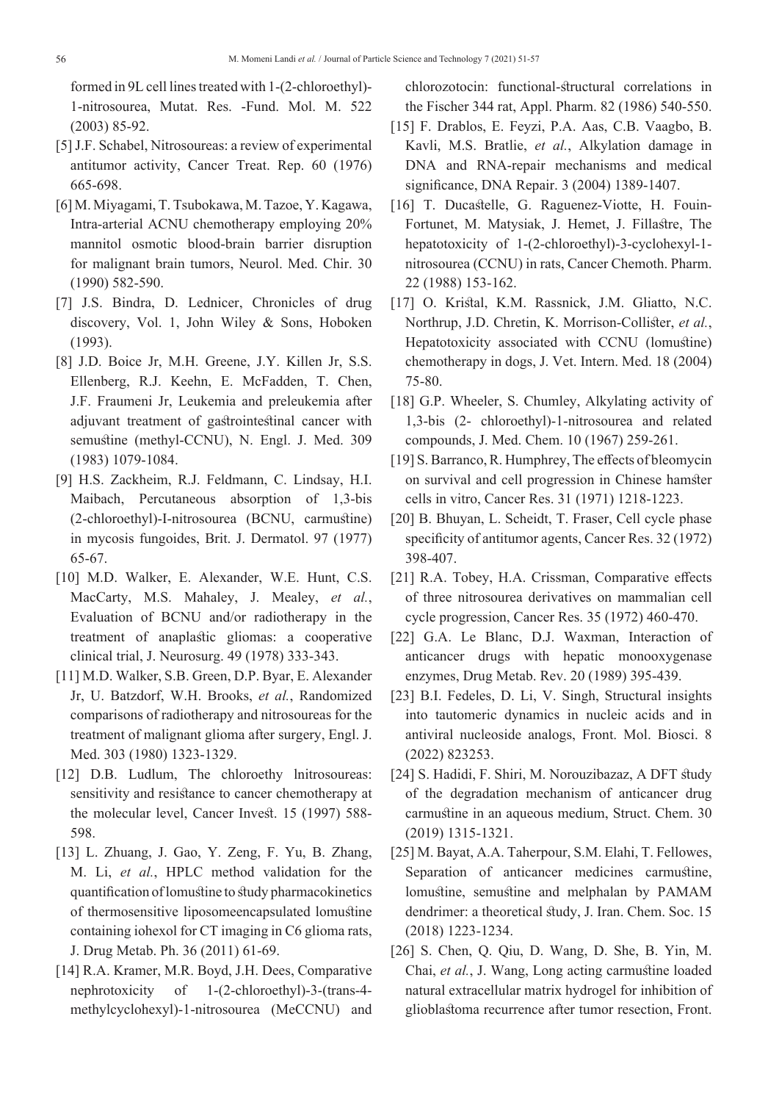formed in 9L cell lines treated with 1-(2-chloroethyl)- 1-nitrosourea, Mutat. Res. -Fund. Mol. M. 522 (2003) 85-92.

- [5] J.F. Schabel, Nitrosoureas: a review of experimental antitumor activity, Cancer Treat. Rep. 60 (1976) 665-698.
- [6] M. Miyagami, T. Tsubokawa, M. Tazoe, Y. Kagawa, Intra-arterial ACNU chemotherapy employing 20% mannitol osmotic blood-brain barrier disruption for malignant brain tumors, Neurol. Med. Chir. 30 (1990) 582-590.
- [7] J.S. Bindra, D. Lednicer, Chronicles of drug discovery, Vol. 1, John Wiley & Sons, Hoboken (1993).
- [8] J.D. Boice Jr, M.H. Greene, J.Y. Killen Jr, S.S. Ellenberg, R.J. Keehn, E. McFadden, T. Chen, J.F. Fraumeni Jr, Leukemia and preleukemia after adjuvant treatment of gastrointestinal cancer with semustine (methyl-CCNU), N. Engl. J. Med. 309 (1983) 1079-1084.
- [9] H.S. Zackheim, R.J. Feldmann, C. Lindsay, H.I. Maibach, Percutaneous absorption of 1,3-bis (2-chloroethyl)-I-nitrosourea (BCNU, carmustine) in mycosis fungoides, Brit. J. Dermatol. 97 (1977) 65-67.
- [10] M.D. Walker, E. Alexander, W.E. Hunt, C.S. MacCarty, M.S. Mahaley, J. Mealey, *et al.*, Evaluation of BCNU and/or radiotherapy in the treatment of anaplastic gliomas: a cooperative clinical trial, J. Neurosurg. 49 (1978) 333-343.
- [11] M.D. Walker, S.B. Green, D.P. Byar, E. Alexander Jr, U. Batzdorf, W.H. Brooks, *et al.*, Randomized comparisons of radiotherapy and nitrosoureas for the treatment of malignant glioma after surgery, Engl. J. Med. 303 (1980) 1323-1329.
- [12] D.B. Ludlum, The chloroethy lnitrosoureas: sensitivity and resistance to cancer chemotherapy at the molecular level, Cancer Invest. 15 (1997) 588- 598.
- [13] L. Zhuang, J. Gao, Y. Zeng, F. Yu, B. Zhang, M. Li, *et al.*, HPLC method validation for the quantification of lomustine to study pharmacokinetics of thermosensitive liposomeencapsulated lomustine containing iohexol for CT imaging in C6 glioma rats, J. Drug Metab. Ph. 36 (2011) 61-69.
- [14] R.A. Kramer, M.R. Boyd, J.H. Dees, Comparative nephrotoxicity of 1-(2-chloroethyl)-3-(trans-4 methylcyclohexyl)-1-nitrosourea (MeCCNU) and

chlorozotocin: functional-structural correlations in the Fischer 344 rat, Appl. Pharm. 82 (1986) 540-550.

- [15] F. Drablos, E. Feyzi, P.A. Aas, C.B. Vaagbo, B. Kavli, M.S. Bratlie, *et al.*, Alkylation damage in DNA and RNA-repair mechanisms and medical significance, DNA Repair. 3 (2004) 1389-1407.
- [16] T. Ducastelle, G. Raguenez-Viotte, H. Fouin-Fortunet, M. Matysiak, J. Hemet, J. Fillastre, The hepatotoxicity of 1-(2-chloroethyl)-3-cyclohexyl-1 nitrosourea (CCNU) in rats, Cancer Chemoth. Pharm. 22 (1988) 153-162.
- [17] O. Kristal, K.M. Rassnick, J.M. Gliatto, N.C. Northrup, J.D. Chretin, K. Morrison-Collister, *et al.*, Hepatotoxicity associated with CCNU (lomustine) chemotherapy in dogs, J. Vet. Intern. Med. 18 (2004) 75-80.
- [18] G.P. Wheeler, S. Chumley, Alkylating activity of 1,3-bis (2- chloroethyl)-1-nitrosourea and related compounds, J. Med. Chem. 10 (1967) 259-261.
- [19] S. Barranco, R. Humphrey, The effects of bleomycin on survival and cell progression in Chinese hamster cells in vitro, Cancer Res. 31 (1971) 1218-1223.
- [20] B. Bhuyan, L. Scheidt, T. Fraser, Cell cycle phase specificity of antitumor agents, Cancer Res. 32 (1972) 398-407.
- [21] R.A. Tobey, H.A. Crissman, Comparative effects of three nitrosourea derivatives on mammalian cell cycle progression, Cancer Res. 35 (1972) 460-470.
- [22] G.A. Le Blanc, D.J. Waxman, Interaction of anticancer drugs with hepatic monooxygenase enzymes, Drug Metab. Rev. 20 (1989) 395-439.
- [23] B.I. Fedeles, D. Li, V. Singh, Structural insights into tautomeric dynamics in nucleic acids and in antiviral nucleoside analogs, Front. Mol. Biosci. 8 (2022) 823253.
- [24] S. Hadidi, F. Shiri, M. Norouzibazaz, A DFT study of the degradation mechanism of anticancer drug carmustine in an aqueous medium, Struct. Chem. 30 (2019) 1315-1321.
- [25] M. Bayat, A.A. Taherpour, S.M. Elahi, T. Fellowes, Separation of anticancer medicines carmustine, lomustine, semustine and melphalan by PAMAM dendrimer: a theoretical study, J. Iran. Chem. Soc. 15 (2018) 1223-1234.
- [26] S. Chen, Q. Qiu, D. Wang, D. She, B. Yin, M. Chai, *et al.*, J. Wang, Long acting carmustine loaded natural extracellular matrix hydrogel for inhibition of glioblastoma recurrence after tumor resection, Front.